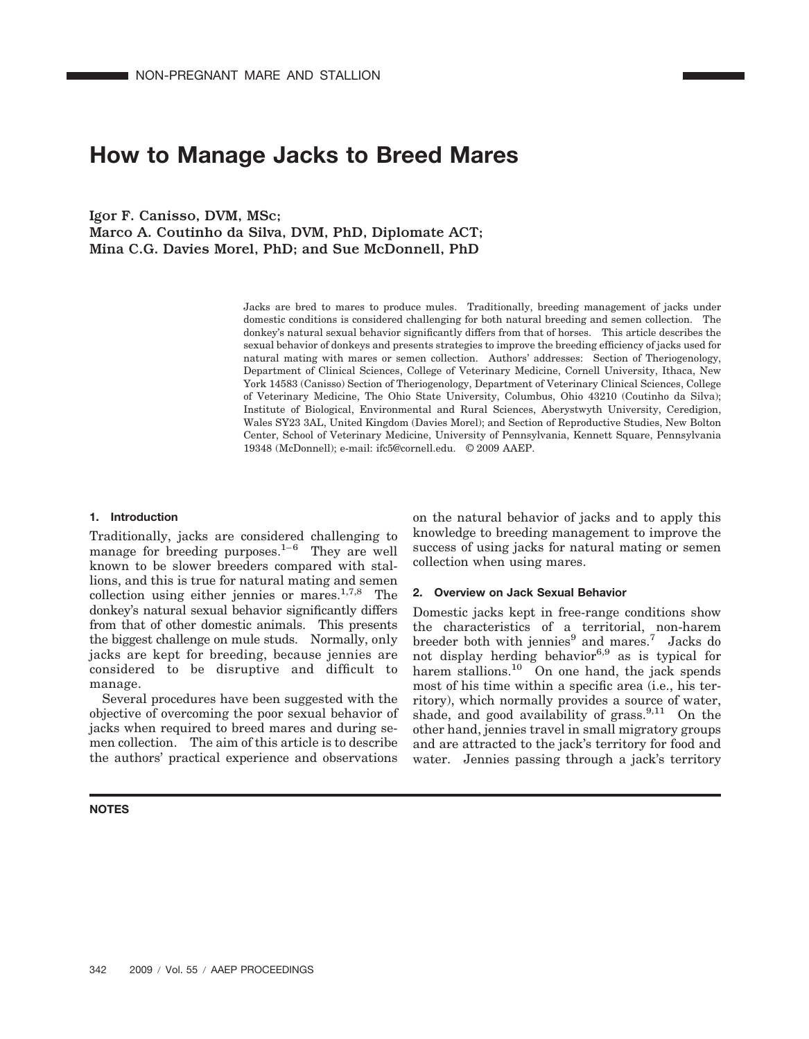# **How to Manage Jacks to Breed Mares**

Igor F. Canisso, DVM, MSc; Marco A. Coutinho da Silva, DVM, PhD, Diplomate ACT; Mina C.G. Davies Morel, PhD; and Sue McDonnell, PhD

> Jacks are bred to mares to produce mules. Traditionally, breeding management of jacks under domestic conditions is considered challenging for both natural breeding and semen collection. The donkey's natural sexual behavior significantly differs from that of horses. This article describes the sexual behavior of donkeys and presents strategies to improve the breeding efficiency of jacks used for natural mating with mares or semen collection. Authors' addresses: Section of Theriogenology, Department of Clinical Sciences, College of Veterinary Medicine, Cornell University, Ithaca, New York 14583 (Canisso) Section of Theriogenology, Department of Veterinary Clinical Sciences, College of Veterinary Medicine, The Ohio State University, Columbus, Ohio 43210 (Coutinho da Silva); Institute of Biological, Environmental and Rural Sciences, Aberystwyth University, Ceredigion, Wales SY23 3AL, United Kingdom (Davies Morel); and Section of Reproductive Studies, New Bolton Center, School of Veterinary Medicine, University of Pennsylvania, Kennett Square, Pennsylvania 19348 (McDonnell); e-mail: ifc5@cornell.edu. © 2009 AAEP.

## **1. Introduction**

Traditionally, jacks are considered challenging to manage for breeding purposes. $1-6$  They are well known to be slower breeders compared with stallions, and this is true for natural mating and semen collection using either jennies or mares. $1,7,8$  The donkey's natural sexual behavior significantly differs from that of other domestic animals. This presents the biggest challenge on mule studs. Normally, only jacks are kept for breeding, because jennies are considered to be disruptive and difficult to manage.

Several procedures have been suggested with the objective of overcoming the poor sexual behavior of jacks when required to breed mares and during semen collection. The aim of this article is to describe the authors' practical experience and observations

#### **NOTES**

on the natural behavior of jacks and to apply this knowledge to breeding management to improve the success of using jacks for natural mating or semen collection when using mares.

#### **2. Overview on Jack Sexual Behavior**

Domestic jacks kept in free-range conditions show the characteristics of a territorial, non-harem breeder both with jennies<sup>9</sup> and mares.<sup>7</sup> Jacks do not display herding behavior<sup>6,9</sup> as is typical for harem stallions.<sup>10</sup> On one hand, the jack spends most of his time within a specific area (i.e., his territory), which normally provides a source of water, shade, and good availability of grass.<sup>9,11</sup> On the other hand, jennies travel in small migratory groups and are attracted to the jack's territory for food and water. Jennies passing through a jack's territory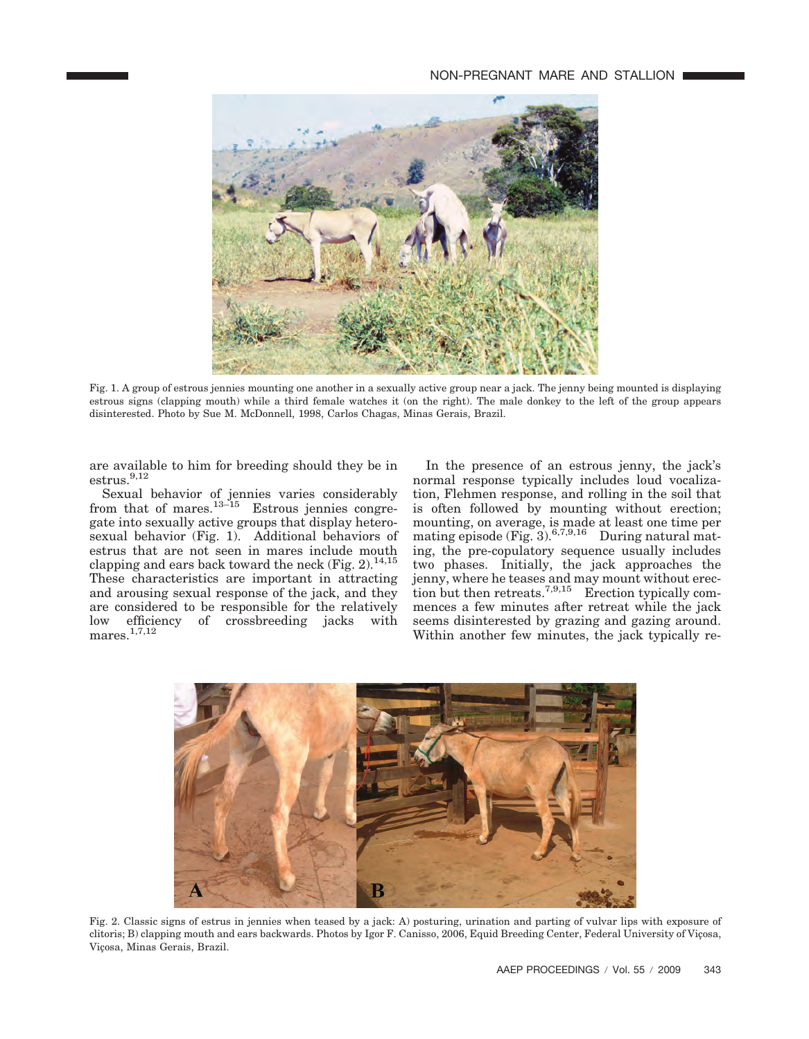

Fig. 1. A group of estrous jennies mounting one another in a sexually active group near a jack. The jenny being mounted is displaying estrous signs (clapping mouth) while a third female watches it (on the right). The male donkey to the left of the group appears disinterested. Photo by Sue M. McDonnell, 1998, Carlos Chagas, Minas Gerais, Brazil.

are available to him for breeding should they be in estrus.<sup>9,12</sup>

Sexual behavior of jennies varies considerably from that of mares. $13-15$  Estrous jennies congregate into sexually active groups that display heterosexual behavior (Fig. 1). Additional behaviors of estrus that are not seen in mares include mouth clapping and ears back toward the neck  $(Fig. 2)$ <sup>14,15</sup> These characteristics are important in attracting and arousing sexual response of the jack, and they are considered to be responsible for the relatively low efficiency of crossbreeding jacks with mares.1,7,12

In the presence of an estrous jenny, the jack's normal response typically includes loud vocalization, Flehmen response, and rolling in the soil that is often followed by mounting without erection; mounting, on average, is made at least one time per mating episode (Fig. 3).  $6,7,9,16$  During natural mating, the pre-copulatory sequence usually includes two phases. Initially, the jack approaches the jenny, where he teases and may mount without erection but then retreats.  $7,9,15$  Erection typically commences a few minutes after retreat while the jack seems disinterested by grazing and gazing around. Within another few minutes, the jack typically re-



Fig. 2. Classic signs of estrus in jennies when teased by a jack: A) posturing, urination and parting of vulvar lips with exposure of clitoris; B) clapping mouth and ears backwards. Photos by Igor F. Canisso, 2006, Equid Breeding Center, Federal University of Viçosa, Viçosa, Minas Gerais, Brazil.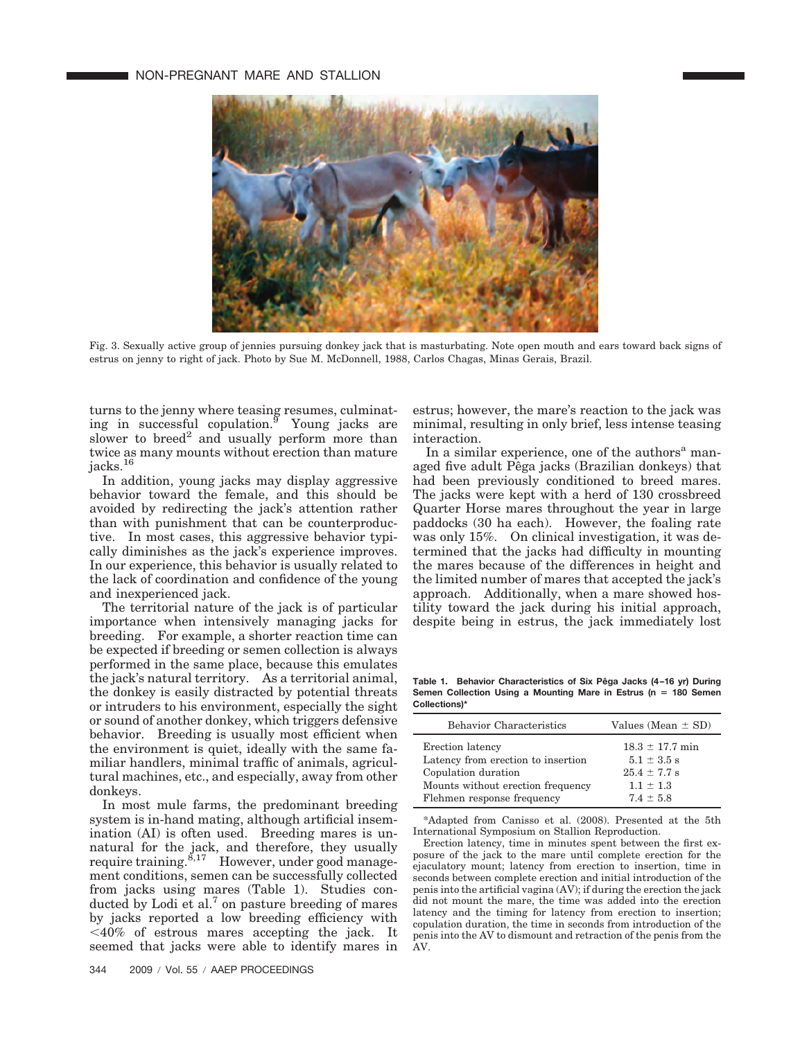

Fig. 3. Sexually active group of jennies pursuing donkey jack that is masturbating. Note open mouth and ears toward back signs of estrus on jenny to right of jack. Photo by Sue M. McDonnell, 1988, Carlos Chagas, Minas Gerais, Brazil.

turns to the jenny where teasing resumes, culminating in successful copulation. $9$  Young jacks are slower to breed<sup>2</sup> and usually perform more than twice as many mounts without erection than mature jacks.<sup>16</sup>

In addition, young jacks may display aggressive behavior toward the female, and this should be avoided by redirecting the jack's attention rather than with punishment that can be counterproductive. In most cases, this aggressive behavior typically diminishes as the jack's experience improves. In our experience, this behavior is usually related to the lack of coordination and confidence of the young and inexperienced jack.

The territorial nature of the jack is of particular importance when intensively managing jacks for breeding. For example, a shorter reaction time can be expected if breeding or semen collection is always performed in the same place, because this emulates the jack's natural territory. As a territorial animal, the donkey is easily distracted by potential threats or intruders to his environment, especially the sight or sound of another donkey, which triggers defensive behavior. Breeding is usually most efficient when the environment is quiet, ideally with the same familiar handlers, minimal traffic of animals, agricultural machines, etc., and especially, away from other donkeys.

In most mule farms, the predominant breeding system is in-hand mating, although artificial insemination (AI) is often used. Breeding mares is unnatural for the jack, and therefore, they usually require training.<sup>8,17</sup> However, under good management conditions, semen can be successfully collected from jacks using mares (Table 1). Studies conducted by Lodi et al.<sup>7</sup> on pasture breeding of mares by jacks reported a low breeding efficiency with -40% of estrous mares accepting the jack. It seemed that jacks were able to identify mares in estrus; however, the mare's reaction to the jack was minimal, resulting in only brief, less intense teasing interaction.

In a similar experience, one of the authors<sup>a</sup> managed five adult Pêga jacks (Brazilian donkeys) that had been previously conditioned to breed mares. The jacks were kept with a herd of 130 crossbreed Quarter Horse mares throughout the year in large paddocks (30 ha each). However, the foaling rate was only 15%. On clinical investigation, it was determined that the jacks had difficulty in mounting the mares because of the differences in height and the limited number of mares that accepted the jack's approach. Additionally, when a mare showed hostility toward the jack during his initial approach, despite being in estrus, the jack immediately lost

Table 1. Behavior Characteristics of Six Pêga Jacks (4-16 yr) During **Semen Collection Using a Mounting Mare in Estrus (n 180 Semen Collections)\***

| <b>Behavior Characteristics</b>    | Values (Mean $\pm$ SD) |
|------------------------------------|------------------------|
| Erection latency                   | $18.3 \pm 17.7$ min    |
| Latency from erection to insertion | $5.1 \pm 3.5$ s        |
| Copulation duration                | $25.4 \pm 7.7$ s       |
| Mounts without erection frequency  | $1.1 \pm 1.3$          |
| Flehmen response frequency         | $7.4 \pm 5.8$          |

\*Adapted from Canisso et al. (2008). Presented at the 5th International Symposium on Stallion Reproduction.

Erection latency, time in minutes spent between the first exposure of the jack to the mare until complete erection for the ejaculatory mount; latency from erection to insertion, time in seconds between complete erection and initial introduction of the penis into the artificial vagina (AV); if during the erection the jack did not mount the mare, the time was added into the erection latency and the timing for latency from erection to insertion; copulation duration, the time in seconds from introduction of the penis into the AV to dismount and retraction of the penis from the AV.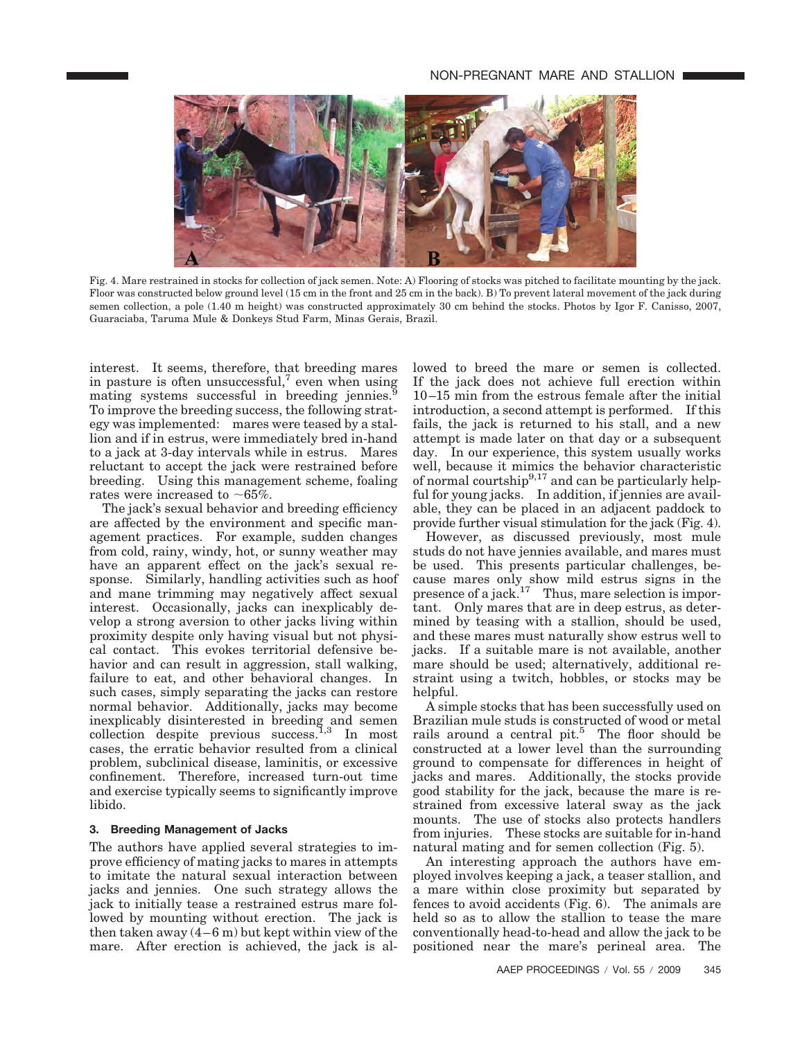

Fig. 4. Mare restrained in stocks for collection of jack semen. Note: A) Flooring of stocks was pitched to facilitate mounting by the jack. Floor was constructed below ground level (15 cm in the front and 25 cm in the back). B) To prevent lateral movement of the jack during semen collection, a pole (1.40 m height) was constructed approximately 30 cm behind the stocks. Photos by Igor F. Canisso, 2007, Guaraciaba, Taruma Mule & Donkeys Stud Farm, Minas Gerais, Brazil.

interest. It seems, therefore, that breeding mares in pasture is often unsuccessful, $\alpha$  even when using mating systems successful in breeding jennies.<sup>9</sup> To improve the breeding success, the following strategy was implemented: mares were teased by a stallion and if in estrus, were immediately bred in-hand to a jack at 3-day intervals while in estrus. Mares reluctant to accept the jack were restrained before breeding. Using this management scheme, foaling rates were increased to  $~165\%$ .

The jack's sexual behavior and breeding efficiency are affected by the environment and specific management practices. For example, sudden changes from cold, rainy, windy, hot, or sunny weather may have an apparent effect on the jack's sexual response. Similarly, handling activities such as hoof and mane trimming may negatively affect sexual interest. Occasionally, jacks can inexplicably develop a strong aversion to other jacks living within proximity despite only having visual but not physical contact. This evokes territorial defensive behavior and can result in aggression, stall walking, failure to eat, and other behavioral changes. In such cases, simply separating the jacks can restore normal behavior. Additionally, jacks may become inexplicably disinterested in breeding and semen collection despite previous success.<sup>1,3</sup> In most cases, the erratic behavior resulted from a clinical problem, subclinical disease, laminitis, or excessive confinement. Therefore, increased turn-out time and exercise typically seems to significantly improve libido.

## **3. Breeding Management of Jacks**

The authors have applied several strategies to improve efficiency of mating jacks to mares in attempts to imitate the natural sexual interaction between jacks and jennies. One such strategy allows the jack to initially tease a restrained estrus mare followed by mounting without erection. The jack is then taken away  $(4-6 \text{ m})$  but kept within view of the mare. After erection is achieved, the jack is allowed to breed the mare or semen is collected. If the jack does not achieve full erection within 10–15 min from the estrous female after the initial introduction, a second attempt is performed. If this fails, the jack is returned to his stall, and a new attempt is made later on that day or a subsequent day. In our experience, this system usually works well, because it mimics the behavior characteristic of normal courtship<sup>9,17</sup> and can be particularly helpful for young jacks. In addition, if jennies are available, they can be placed in an adjacent paddock to provide further visual stimulation for the jack (Fig. 4).

However, as discussed previously, most mule studs do not have jennies available, and mares must be used. This presents particular challenges, because mares only show mild estrus signs in the presence of a jack.<sup>17</sup> Thus, mare selection is important. Only mares that are in deep estrus, as determined by teasing with a stallion, should be used, and these mares must naturally show estrus well to jacks. If a suitable mare is not available, another mare should be used; alternatively, additional restraint using a twitch, hobbles, or stocks may be helpful.

A simple stocks that has been successfully used on Brazilian mule studs is constructed of wood or metal rails around a central pit.<sup>5</sup> The floor should be constructed at a lower level than the surrounding ground to compensate for differences in height of jacks and mares. Additionally, the stocks provide good stability for the jack, because the mare is restrained from excessive lateral sway as the jack mounts. The use of stocks also protects handlers from injuries. These stocks are suitable for in-hand natural mating and for semen collection (Fig. 5).

An interesting approach the authors have employed involves keeping a jack, a teaser stallion, and a mare within close proximity but separated by fences to avoid accidents (Fig. 6). The animals are held so as to allow the stallion to tease the mare conventionally head-to-head and allow the jack to be positioned near the mare's perineal area. The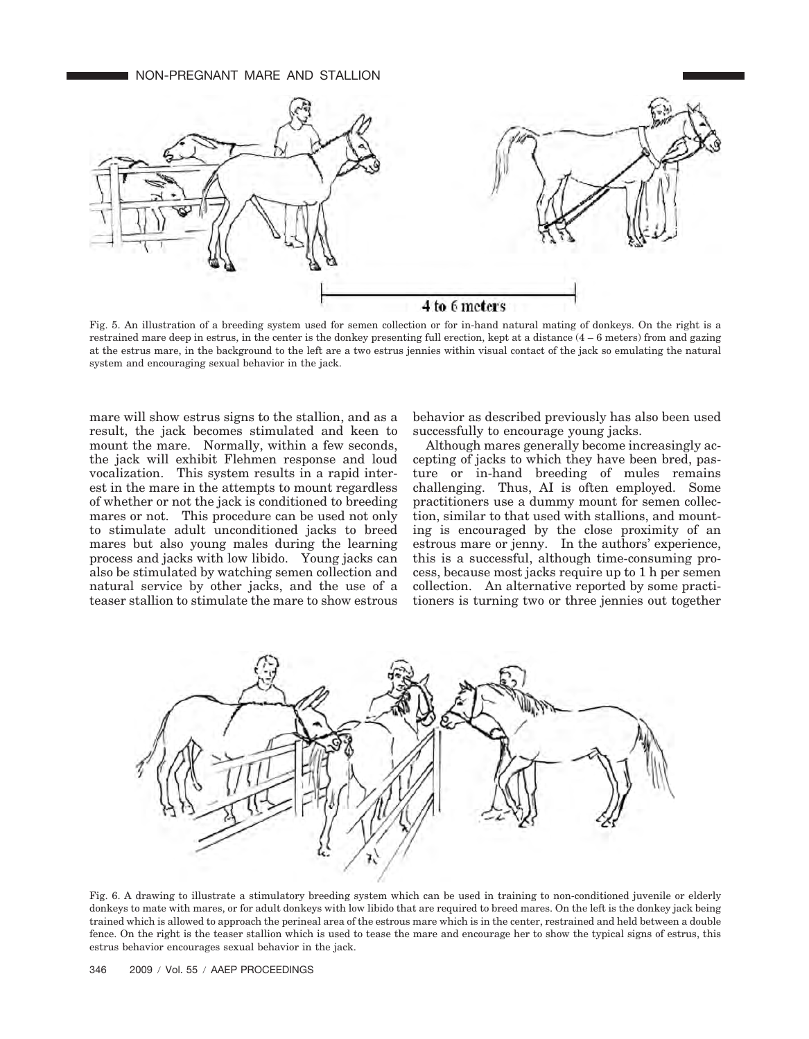## NON-PREGNANT MARE AND STALLION



Fig. 5. An illustration of a breeding system used for semen collection or for in-hand natural mating of donkeys. On the right is a restrained mare deep in estrus, in the center is the donkey presenting full erection, kept at a distance (4 – 6 meters) from and gazing at the estrus mare, in the background to the left are a two estrus jennies within visual contact of the jack so emulating the natural system and encouraging sexual behavior in the jack.

mare will show estrus signs to the stallion, and as a result, the jack becomes stimulated and keen to mount the mare. Normally, within a few seconds, the jack will exhibit Flehmen response and loud vocalization. This system results in a rapid interest in the mare in the attempts to mount regardless of whether or not the jack is conditioned to breeding mares or not. This procedure can be used not only to stimulate adult unconditioned jacks to breed mares but also young males during the learning process and jacks with low libido. Young jacks can also be stimulated by watching semen collection and natural service by other jacks, and the use of a teaser stallion to stimulate the mare to show estrous behavior as described previously has also been used successfully to encourage young jacks.

Although mares generally become increasingly accepting of jacks to which they have been bred, pasture or in-hand breeding of mules remains challenging. Thus, AI is often employed. Some practitioners use a dummy mount for semen collection, similar to that used with stallions, and mounting is encouraged by the close proximity of an estrous mare or jenny. In the authors' experience, this is a successful, although time-consuming process, because most jacks require up to 1 h per semen collection. An alternative reported by some practitioners is turning two or three jennies out together



Fig. 6. A drawing to illustrate a stimulatory breeding system which can be used in training to non-conditioned juvenile or elderly donkeys to mate with mares, or for adult donkeys with low libido that are required to breed mares. On the left is the donkey jack being trained which is allowed to approach the perineal area of the estrous mare which is in the center, restrained and held between a double fence. On the right is the teaser stallion which is used to tease the mare and encourage her to show the typical signs of estrus, this estrus behavior encourages sexual behavior in the jack.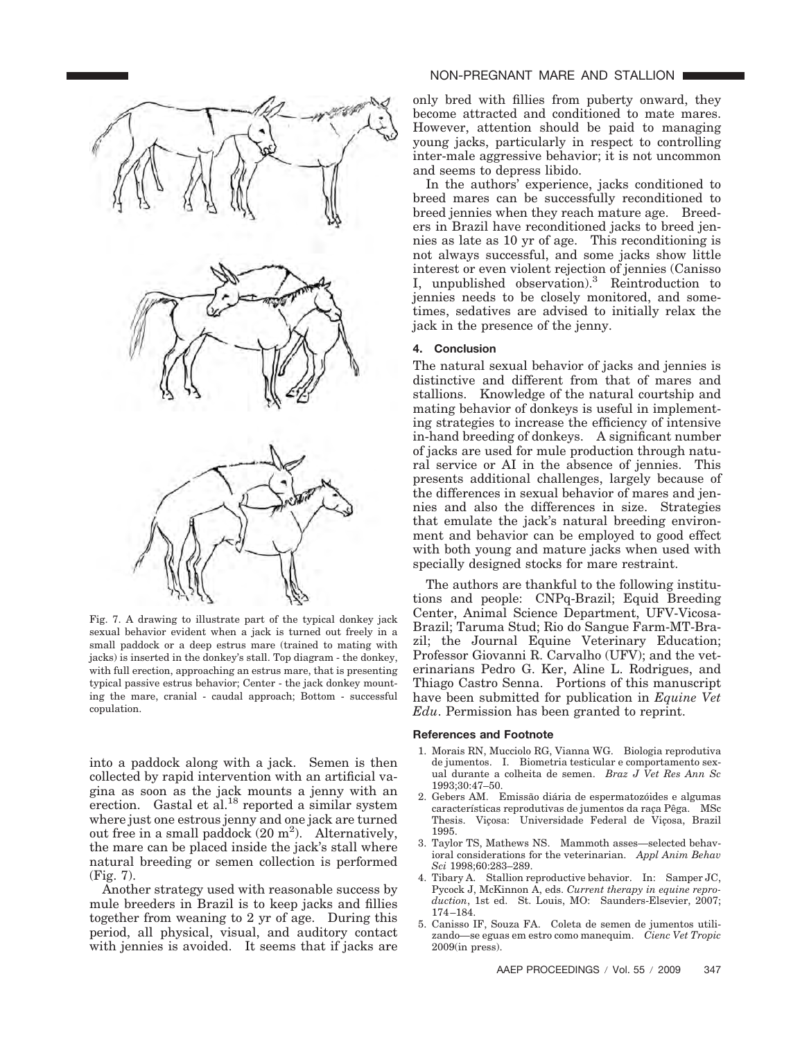

Fig. 7. A drawing to illustrate part of the typical donkey jack sexual behavior evident when a jack is turned out freely in a small paddock or a deep estrus mare (trained to mating with jacks) is inserted in the donkey's stall. Top diagram - the donkey, with full erection, approaching an estrus mare, that is presenting typical passive estrus behavior; Center - the jack donkey mounting the mare, cranial - caudal approach; Bottom - successful copulation.

into a paddock along with a jack. Semen is then collected by rapid intervention with an artificial vagina as soon as the jack mounts a jenny with an erection. Gastal et al.<sup>18</sup> reported a similar system where just one estrous jenny and one jack are turned out free in a small paddock  $(20 \text{ m}^2)$ . Alternatively, the mare can be placed inside the jack's stall where natural breeding or semen collection is performed (Fig. 7).

Another strategy used with reasonable success by mule breeders in Brazil is to keep jacks and fillies together from weaning to 2 yr of age. During this period, all physical, visual, and auditory contact with jennies is avoided. It seems that if jacks are

## NON-PREGNANT MARE AND STALLION

only bred with fillies from puberty onward, they become attracted and conditioned to mate mares. However, attention should be paid to managing young jacks, particularly in respect to controlling inter-male aggressive behavior; it is not uncommon and seems to depress libido.

In the authors' experience, jacks conditioned to breed mares can be successfully reconditioned to breed jennies when they reach mature age. Breeders in Brazil have reconditioned jacks to breed jennies as late as 10 yr of age. This reconditioning is not always successful, and some jacks show little interest or even violent rejection of jennies (Canisso I, unpublished observation).3 Reintroduction to jennies needs to be closely monitored, and sometimes, sedatives are advised to initially relax the jack in the presence of the jenny.

#### **4. Conclusion**

The natural sexual behavior of jacks and jennies is distinctive and different from that of mares and stallions. Knowledge of the natural courtship and mating behavior of donkeys is useful in implementing strategies to increase the efficiency of intensive in-hand breeding of donkeys. A significant number of jacks are used for mule production through natural service or AI in the absence of jennies. This presents additional challenges, largely because of the differences in sexual behavior of mares and jennies and also the differences in size. Strategies that emulate the jack's natural breeding environment and behavior can be employed to good effect with both young and mature jacks when used with specially designed stocks for mare restraint.

The authors are thankful to the following institutions and people: CNPq-Brazil; Equid Breeding Center, Animal Science Department, UFV-Vicosa-Brazil; Taruma Stud; Rio do Sangue Farm-MT-Brazil; the Journal Equine Veterinary Education; Professor Giovanni R. Carvalho (UFV); and the veterinarians Pedro G. Ker, Aline L. Rodrigues, and Thiago Castro Senna. Portions of this manuscript have been submitted for publication in *Equine Vet Edu*. Permission has been granted to reprint.

#### **References and Footnote**

- 1. Morais RN, Mucciolo RG, Vianna WG. Biologia reprodutiva de jumentos. I. Biometria testicular e comportamento sexual durante a colheita de semen. *Braz J Vet Res Ann Sc* 1993;30:47–50.
- 2. Gebers AM. Emissão diária de espermatozóides e algumas características reprodutivas de jumentos da raça Pêga. MSc Thesis. Viçosa: Universidade Federal de Viçosa, Brazil 1995.
- 3. Taylor TS, Mathews NS. Mammoth asses—selected behavioral considerations for the veterinarian. *Appl Anim Behav Sci* 1998;60:283–289.
- 4. Tibary A. Stallion reproductive behavior. In: Samper JC, Pycock J, McKinnon A, eds. *Current therapy in equine reproduction*, 1st ed. St. Louis, MO: Saunders-Elsevier, 2007; 174–184.
- 5. Canisso IF, Souza FA. Coleta de semen de jumentos utilizando—se eguas em estro como manequim. *Cienc Vet Tropic* 2009(in press).